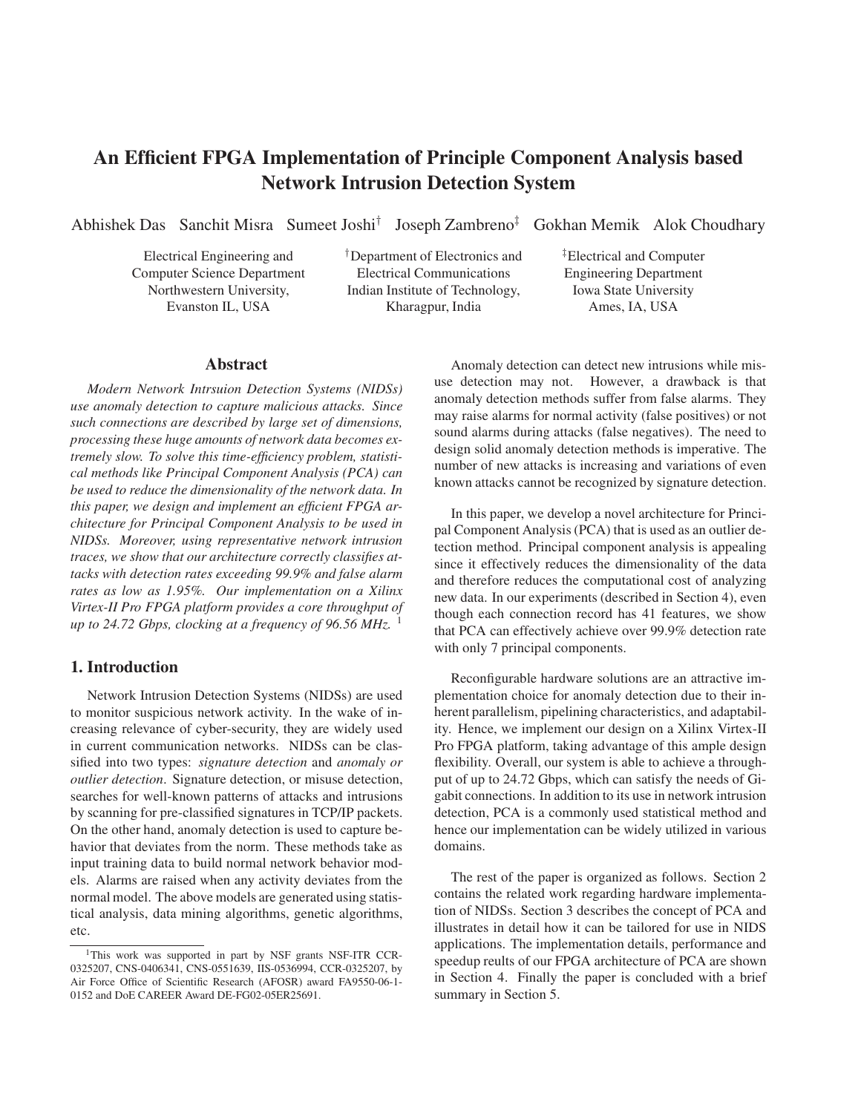# **An Efficient FPGA Implementation of Principle Component Analysis based Network Intrusion Detection System**

Abhishek Das Sanchit Misra Sumeet Joshi*†* Joseph Zambreno*‡* Gokhan Memik Alok Choudhary

Electrical Engineering and Computer Science Department Northwestern University, Evanston IL, USA

†Department of Electronics and Electrical Communications Indian Institute of Technology, Kharagpur, India

‡Electrical and Computer Engineering Department Iowa State University Ames, IA, USA

# **Abstract**

*Modern Network Intrsuion Detection Systems (NIDSs) use anomaly detection to capture malicious attacks. Since such connections are described by large set of dimensions, processing these huge amounts of network data becomes extremely slow. To solve this time-efficiency problem, statistical methods like Principal Component Analysis (PCA) can be used to reduce the dimensionality of the network data. In this paper, we design and implement an efficient FPGA architecture for Principal Component Analysis to be used in NIDSs. Moreover, using representative network intrusion traces, we show that our architecture correctly classifies attacks with detection rates exceeding 99.9% and false alarm rates as low as 1.95%. Our implementation on a Xilinx Virtex-II Pro FPGA platform provides a core throughput of up to 24.72 Gbps, clocking at a frequency of 96.56 MHz.* <sup>1</sup>

### **1. Introduction**

Network Intrusion Detection Systems (NIDSs) are used to monitor suspicious network activity. In the wake of increasing relevance of cyber-security, they are widely used in current communication networks. NIDSs can be classified into two types: *signature detection* and *anomaly or outlier detection*. Signature detection, or misuse detection, searches for well-known patterns of attacks and intrusions by scanning for pre-classified signatures in TCP/IP packets. On the other hand, anomaly detection is used to capture behavior that deviates from the norm. These methods take as input training data to build normal network behavior models. Alarms are raised when any activity deviates from the normal model. The above models are generated using statistical analysis, data mining algorithms, genetic algorithms, etc.

Anomaly detection can detect new intrusions while misuse detection may not. However, a drawback is that anomaly detection methods suffer from false alarms. They may raise alarms for normal activity (false positives) or not sound alarms during attacks (false negatives). The need to design solid anomaly detection methods is imperative. The number of new attacks is increasing and variations of even known attacks cannot be recognized by signature detection.

In this paper, we develop a novel architecture for Principal Component Analysis (PCA) that is used as an outlier detection method. Principal component analysis is appealing since it effectively reduces the dimensionality of the data and therefore reduces the computational cost of analyzing new data. In our experiments (described in Section 4), even though each connection record has 41 features, we show that PCA can effectively achieve over 99.9% detection rate with only 7 principal components.

Reconfigurable hardware solutions are an attractive implementation choice for anomaly detection due to their inherent parallelism, pipelining characteristics, and adaptability. Hence, we implement our design on a Xilinx Virtex-II Pro FPGA platform, taking advantage of this ample design flexibility. Overall, our system is able to achieve a throughput of up to 24.72 Gbps, which can satisfy the needs of Gigabit connections. In addition to its use in network intrusion detection, PCA is a commonly used statistical method and hence our implementation can be widely utilized in various domains.

The rest of the paper is organized as follows. Section 2 contains the related work regarding hardware implementation of NIDSs. Section 3 describes the concept of PCA and illustrates in detail how it can be tailored for use in NIDS applications. The implementation details, performance and speedup reults of our FPGA architecture of PCA are shown in Section 4. Finally the paper is concluded with a brief summary in Section 5.

<sup>&</sup>lt;sup>1</sup>This work was supported in part by NSF grants NSF-ITR CCR-0325207, CNS-0406341, CNS-0551639, IIS-0536994, CCR-0325207, by Air Force Office of Scientific Research (AFOSR) award FA9550-06-1- 0152 and DoE CAREER Award DE-FG02-05ER25691.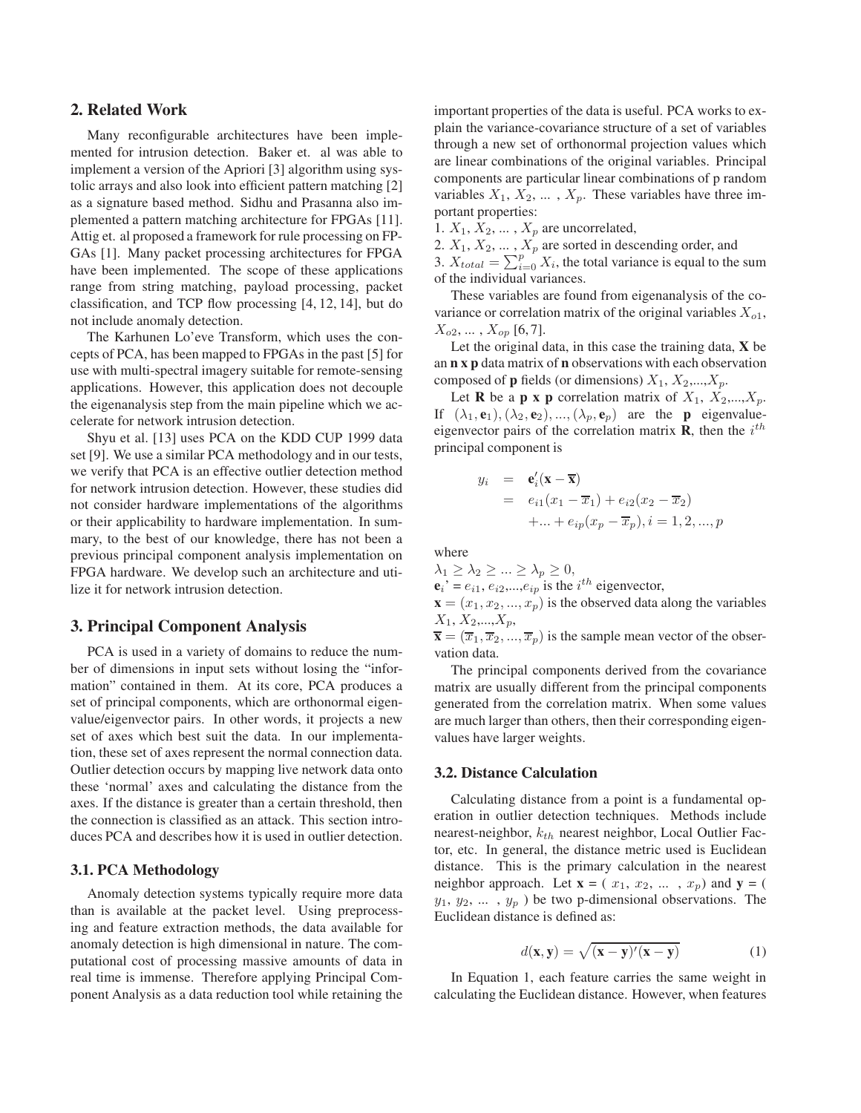# **2. Related Work**

Many reconfigurable architectures have been implemented for intrusion detection. Baker et. al was able to implement a version of the Apriori [3] algorithm using systolic arrays and also look into efficient pattern matching [2] as a signature based method. Sidhu and Prasanna also implemented a pattern matching architecture for FPGAs [11]. Attig et. al proposed a framework for rule processing on FP-GAs [1]. Many packet processing architectures for FPGA have been implemented. The scope of these applications range from string matching, payload processing, packet classification, and TCP flow processing [4, 12, 14], but do not include anomaly detection.

The Karhunen Lo'eve Transform, which uses the concepts of PCA, has been mapped to FPGAs in the past [5] for use with multi-spectral imagery suitable for remote-sensing applications. However, this application does not decouple the eigenanalysis step from the main pipeline which we accelerate for network intrusion detection.

Shyu et al. [13] uses PCA on the KDD CUP 1999 data set [9]. We use a similar PCA methodology and in our tests, we verify that PCA is an effective outlier detection method for network intrusion detection. However, these studies did not consider hardware implementations of the algorithms or their applicability to hardware implementation. In summary, to the best of our knowledge, there has not been a previous principal component analysis implementation on FPGA hardware. We develop such an architecture and utilize it for network intrusion detection.

#### **3. Principal Component Analysis**

PCA is used in a variety of domains to reduce the number of dimensions in input sets without losing the "information" contained in them. At its core, PCA produces a set of principal components, which are orthonormal eigenvalue/eigenvector pairs. In other words, it projects a new set of axes which best suit the data. In our implementation, these set of axes represent the normal connection data. Outlier detection occurs by mapping live network data onto these 'normal' axes and calculating the distance from the axes. If the distance is greater than a certain threshold, then the connection is classified as an attack. This section introduces PCA and describes how it is used in outlier detection.

#### **3.1. PCA Methodology**

Anomaly detection systems typically require more data than is available at the packet level. Using preprocessing and feature extraction methods, the data available for anomaly detection is high dimensional in nature. The computational cost of processing massive amounts of data in real time is immense. Therefore applying Principal Component Analysis as a data reduction tool while retaining the important properties of the data is useful. PCA works to explain the variance-covariance structure of a set of variables through a new set of orthonormal projection values which are linear combinations of the original variables. Principal components are particular linear combinations of p random variables  $X_1, X_2, \ldots, X_p$ . These variables have three important properties:

1.  $X_1, X_2, \ldots, X_p$  are uncorrelated,

2.  $X_1, X_2, \ldots, X_p$  are sorted in descending order, and

3.  $X_{total} = \sum_{i=0}^{p} X_i$ , the total variance is equal to the sum of the individual variances.

These variables are found from eigenanalysis of the covariance or correlation matrix of the original variables  $X_{o1}$ ,  $X_{o2}, \ldots, X_{op}$  [6,7].

Let the original data, in this case the training data, **X** be an **nxp** data matrix of **n** observations with each observation composed of **p** fields (or dimensions)  $X_1, X_2, \ldots, X_p$ .

Let **R** be a **p** x **p** correlation matrix of  $X_1$ ,  $X_2$ ,..., $X_p$ . If  $(\lambda_1, \mathbf{e}_1), (\lambda_2, \mathbf{e}_2), ..., (\lambda_p, \mathbf{e}_p)$  are the **p** eigenvalueeigenvector pairs of the correlation matrix **R**, then the  $i^{th}$ principal component is

$$
y_i = \mathbf{e}'_i(\mathbf{x} - \overline{\mathbf{x}})
$$
  
=  $e_{i1}(x_1 - \overline{x}_1) + e_{i2}(x_2 - \overline{x}_2)$   
+...+  $e_{ip}(x_p - \overline{x}_p), i = 1, 2, ..., p$ 

where

 $\lambda_1 \geq \lambda_2 \geq \ldots \geq \lambda_p \geq 0,$ 

 ${\bf e}_i' = e_{i1}, e_{i2}, \dots, e_{ip}$  is the  $i^{th}$  eigenvector,

 $\mathbf{x} = (x_1, x_2, ..., x_p)$  is the observed data along the variables  $X_1, X_2, \ldots, X_p,$ 

 $\overline{\mathbf{x}} = (\overline{x}_1, \overline{x}_2, ..., \overline{x}_p)$  is the sample mean vector of the observation data.

The principal components derived from the covariance matrix are usually different from the principal components generated from the correlation matrix. When some values are much larger than others, then their corresponding eigenvalues have larger weights.

## **3.2. Distance Calculation**

Calculating distance from a point is a fundamental operation in outlier detection techniques. Methods include nearest-neighbor,  $k_{th}$  nearest neighbor, Local Outlier Factor, etc. In general, the distance metric used is Euclidean distance. This is the primary calculation in the nearest neighbor approach. Let  $\mathbf{x} = (x_1, x_2, \dots, x_p)$  and  $\mathbf{y} = ($  $y_1, y_2, \ldots, y_p$  ) be two p-dimensional observations. The Euclidean distance is defined as:

$$
d(\mathbf{x}, \mathbf{y}) = \sqrt{(\mathbf{x} - \mathbf{y})'(\mathbf{x} - \mathbf{y})}
$$
(1)

In Equation 1, each feature carries the same weight in calculating the Euclidean distance. However, when features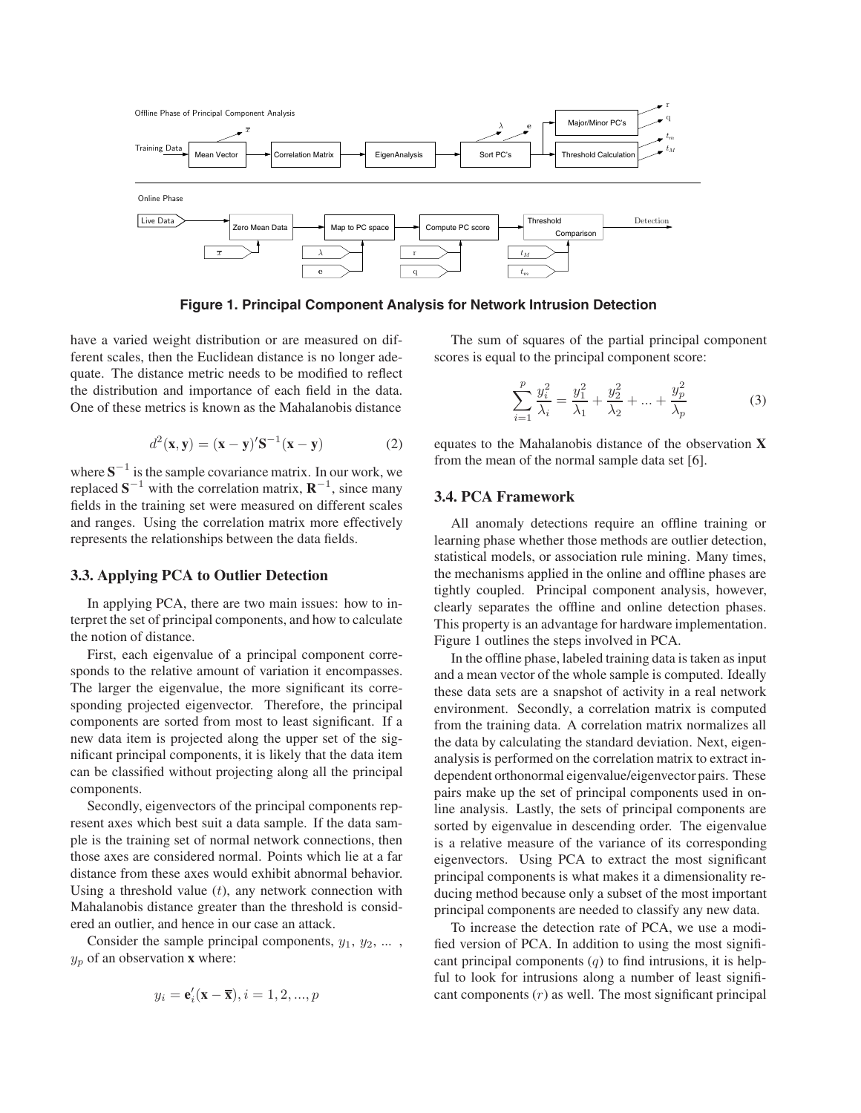

**Figure 1. Principal Component Analysis for Network Intrusion Detection**

have a varied weight distribution or are measured on different scales, then the Euclidean distance is no longer adequate. The distance metric needs to be modified to reflect the distribution and importance of each field in the data. One of these metrics is known as the Mahalanobis distance

$$
d^{2}(\mathbf{x}, \mathbf{y}) = (\mathbf{x} - \mathbf{y})' \mathbf{S}^{-1}(\mathbf{x} - \mathbf{y})
$$
 (2)

where  $S^{-1}$  is the sample covariance matrix. In our work, we replaced  $S^{-1}$  with the correlation matrix,  $\mathbf{R}^{-1}$ , since many fields in the training set were measured on different scales and ranges. Using the correlation matrix more effectively represents the relationships between the data fields.

#### **3.3. Applying PCA to Outlier Detection**

In applying PCA, there are two main issues: how to interpret the set of principal components, and how to calculate the notion of distance.

First, each eigenvalue of a principal component corresponds to the relative amount of variation it encompasses. The larger the eigenvalue, the more significant its corresponding projected eigenvector. Therefore, the principal components are sorted from most to least significant. If a new data item is projected along the upper set of the significant principal components, it is likely that the data item can be classified without projecting along all the principal components.

Secondly, eigenvectors of the principal components represent axes which best suit a data sample. If the data sample is the training set of normal network connections, then those axes are considered normal. Points which lie at a far distance from these axes would exhibit abnormal behavior. Using a threshold value  $(t)$ , any network connection with Mahalanobis distance greater than the threshold is considered an outlier, and hence in our case an attack.

Consider the sample principal components,  $y_1, y_2, \ldots$ ,  $y_p$  of an observation **x** where:

$$
y_i = \mathbf{e}'_i(\mathbf{x} - \overline{\mathbf{x}}), i = 1, 2, ..., p
$$

The sum of squares of the partial principal component scores is equal to the principal component score:

$$
\sum_{i=1}^{p} \frac{y_i^2}{\lambda_i} = \frac{y_1^2}{\lambda_1} + \frac{y_2^2}{\lambda_2} + \dots + \frac{y_p^2}{\lambda_p}
$$
 (3)

equates to the Mahalanobis distance of the observation **X** from the mean of the normal sample data set [6].

#### **3.4. PCA Framework**

All anomaly detections require an offline training or learning phase whether those methods are outlier detection, statistical models, or association rule mining. Many times, the mechanisms applied in the online and offline phases are tightly coupled. Principal component analysis, however, clearly separates the offline and online detection phases. This property is an advantage for hardware implementation. Figure 1 outlines the steps involved in PCA.

In the offline phase, labeled training data is taken as input and a mean vector of the whole sample is computed. Ideally these data sets are a snapshot of activity in a real network environment. Secondly, a correlation matrix is computed from the training data. A correlation matrix normalizes all the data by calculating the standard deviation. Next, eigenanalysis is performed on the correlation matrix to extract independent orthonormal eigenvalue/eigenvector pairs. These pairs make up the set of principal components used in online analysis. Lastly, the sets of principal components are sorted by eigenvalue in descending order. The eigenvalue is a relative measure of the variance of its corresponding eigenvectors. Using PCA to extract the most significant principal components is what makes it a dimensionality reducing method because only a subset of the most important principal components are needed to classify any new data.

To increase the detection rate of PCA, we use a modified version of PCA. In addition to using the most significant principal components  $(q)$  to find intrusions, it is helpful to look for intrusions along a number of least significant components  $(r)$  as well. The most significant principal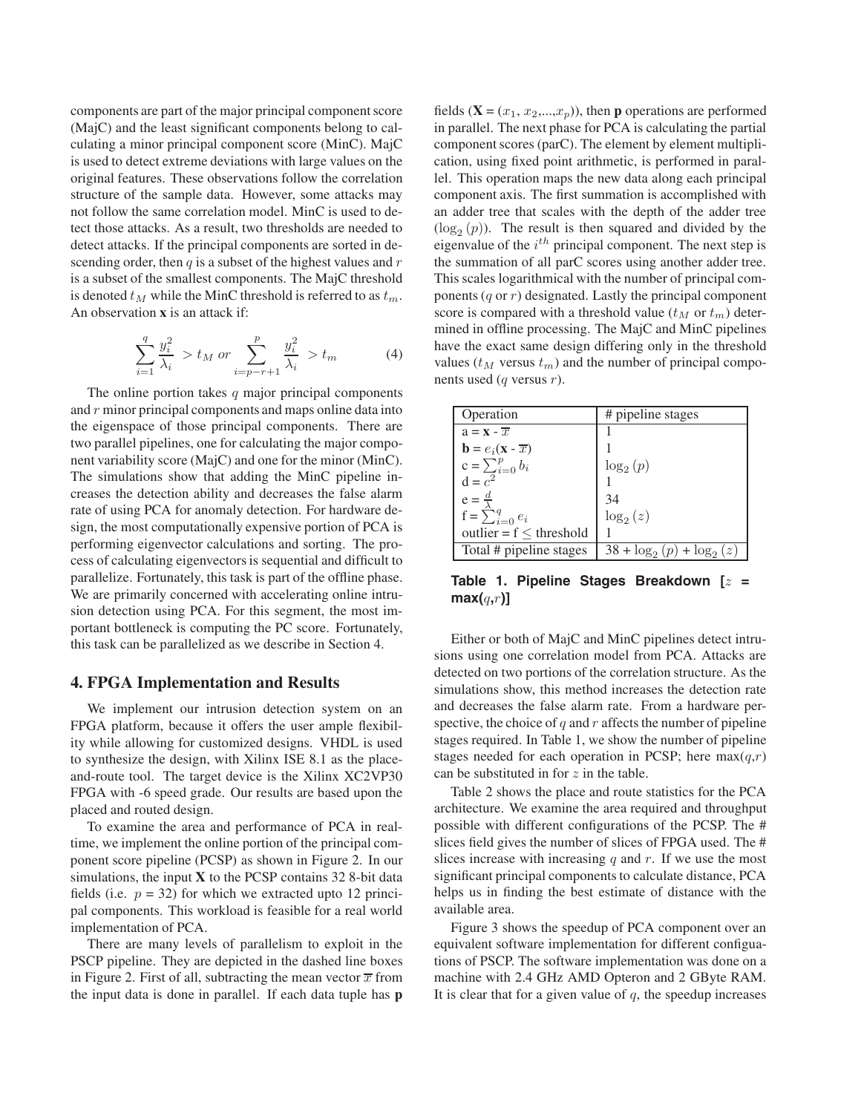components are part of the major principal component score (MajC) and the least significant components belong to calculating a minor principal component score (MinC). MajC is used to detect extreme deviations with large values on the original features. These observations follow the correlation structure of the sample data. However, some attacks may not follow the same correlation model. MinC is used to detect those attacks. As a result, two thresholds are needed to detect attacks. If the principal components are sorted in descending order, then  $q$  is a subset of the highest values and  $r$ is a subset of the smallest components. The MajC threshold is denoted  $t_M$  while the MinC threshold is referred to as  $t_m$ . An observation **x** is an attack if:

$$
\sum_{i=1}^{q} \frac{y_i^2}{\lambda_i} > t_M \text{ or } \sum_{i=p-r+1}^{p} \frac{y_i^2}{\lambda_i} > t_m \tag{4}
$$

The online portion takes  $q$  major principal components and  $r$  minor principal components and maps online data into the eigenspace of those principal components. There are two parallel pipelines, one for calculating the major component variability score (MajC) and one for the minor (MinC). The simulations show that adding the MinC pipeline increases the detection ability and decreases the false alarm rate of using PCA for anomaly detection. For hardware design, the most computationally expensive portion of PCA is performing eigenvector calculations and sorting. The process of calculating eigenvectors is sequential and difficult to parallelize. Fortunately, this task is part of the offline phase. We are primarily concerned with accelerating online intrusion detection using PCA. For this segment, the most important bottleneck is computing the PC score. Fortunately, this task can be parallelized as we describe in Section 4.

## **4. FPGA Implementation and Results**

We implement our intrusion detection system on an FPGA platform, because it offers the user ample flexibility while allowing for customized designs. VHDL is used to synthesize the design, with Xilinx ISE 8.1 as the placeand-route tool. The target device is the Xilinx XC2VP30 FPGA with -6 speed grade. Our results are based upon the placed and routed design.

To examine the area and performance of PCA in realtime, we implement the online portion of the principal component score pipeline (PCSP) as shown in Figure 2. In our simulations, the input **X** to the PCSP contains 32 8-bit data fields (i.e.  $p = 32$ ) for which we extracted upto 12 principal components. This workload is feasible for a real world implementation of PCA.

There are many levels of parallelism to exploit in the PSCP pipeline. They are depicted in the dashed line boxes in Figure 2. First of all, subtracting the mean vector  $\overline{x}$  from the input data is done in parallel. If each data tuple has **p**

fields  $(X = (x_1, x_2,...,x_n))$ , then **p** operations are performed in parallel. The next phase for PCA is calculating the partial component scores (parC). The element by element multiplication, using fixed point arithmetic, is performed in parallel. This operation maps the new data along each principal component axis. The first summation is accomplished with an adder tree that scales with the depth of the adder tree  $(\log_2(p))$ . The result is then squared and divided by the eigenvalue of the  $i^{th}$  principal component. The next step is the summation of all parC scores using another adder tree. This scales logarithmical with the number of principal components  $(q \text{ or } r)$  designated. Lastly the principal component score is compared with a threshold value  $(t_M$  or  $t_m$ ) determined in offline processing. The MajC and MinC pipelines have the exact same design differing only in the threshold values ( $t_M$  versus  $t_m$ ) and the number of principal components used (q versus r).

| Operation                                     | # pipeline stages            |
|-----------------------------------------------|------------------------------|
| $a = x - \overline{x}$                        |                              |
| $\mathbf{b} = e_i(\mathbf{x} - \overline{x})$ |                              |
| $c = \sum_{i=0}^{p} b_i$                      | $\log_2(p)$                  |
| $d = \overline{c^2}$                          |                              |
| $e = \frac{d}{\lambda}$                       | 34                           |
| $f = \sum_{i=0}^{q} e_i$                      | $\log_2(z)$                  |
| outlier = $f$ < threshold                     |                              |
| Total # pipeline stages                       | $38 + \log_2(p) + \log_2(z)$ |

**Table 1. Pipeline Stages Breakdown [**z **= max(**q**,**r**)]**

Either or both of MajC and MinC pipelines detect intrusions using one correlation model from PCA. Attacks are detected on two portions of the correlation structure. As the simulations show, this method increases the detection rate and decreases the false alarm rate. From a hardware perspective, the choice of q and r affects the number of pipeline stages required. In Table 1, we show the number of pipeline stages needed for each operation in PCSP; here  $max(q,r)$ can be substituted in for  $z$  in the table.

Table 2 shows the place and route statistics for the PCA architecture. We examine the area required and throughput possible with different configurations of the PCSP. The # slices field gives the number of slices of FPGA used. The # slices increase with increasing  $q$  and  $r$ . If we use the most significant principal components to calculate distance, PCA helps us in finding the best estimate of distance with the available area.

Figure 3 shows the speedup of PCA component over an equivalent software implementation for different configuations of PSCP. The software implementation was done on a machine with 2.4 GHz AMD Opteron and 2 GByte RAM. It is clear that for a given value of  $q$ , the speedup increases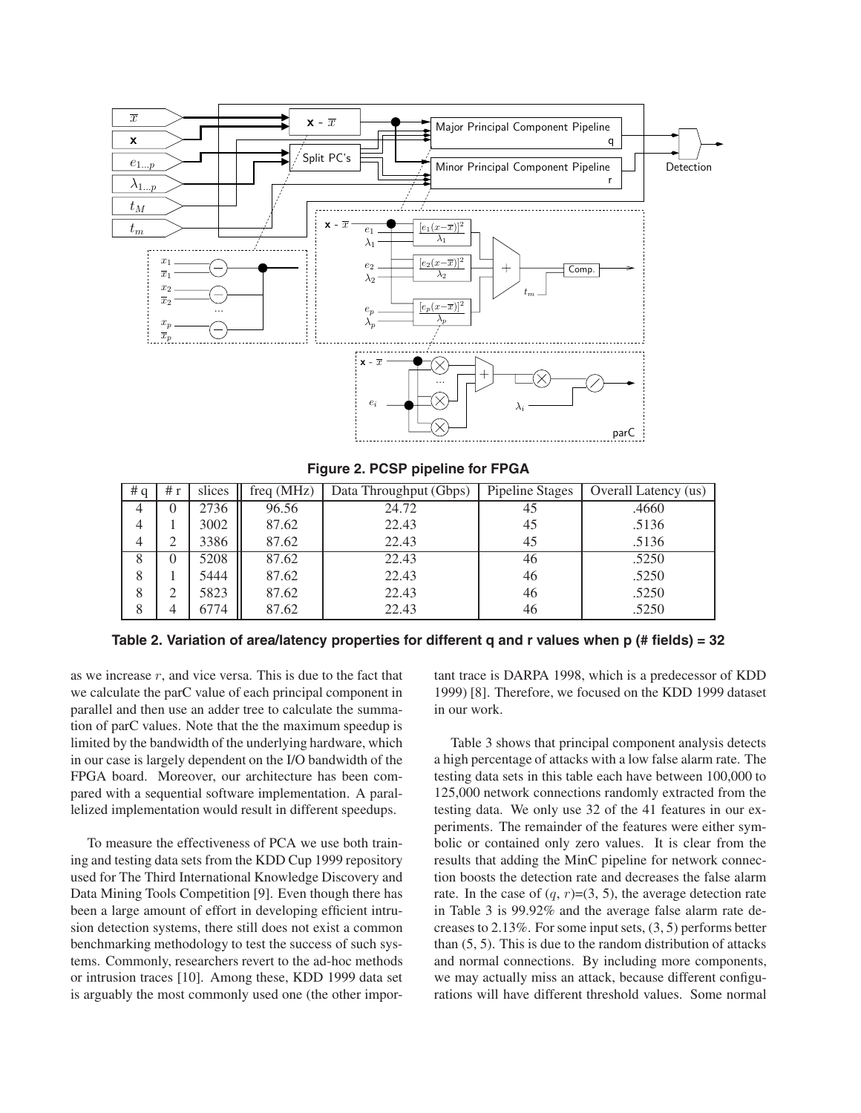

**Figure 2. PCSP pipeline for FPGA**

| # q            | # $r$            | slices | freq(MHz) | Data Throughput (Gbps) | Pipeline Stages | Overall Latency (us) |
|----------------|------------------|--------|-----------|------------------------|-----------------|----------------------|
| $\overline{4}$ | $\left( \right)$ | 2736   | 96.56     | 24.72                  | 45              | .4660                |
| 4              |                  | 3002   | 87.62     | 22.43                  | 45              | .5136                |
| 4              | ⌒                | 3386   | 87.62     | 22.43                  | 45              | .5136                |
| 8              |                  | 5208   | 87.62     | 22.43                  | 46              | .5250                |
| 8              |                  | 5444   | 87.62     | 22.43                  | 46              | .5250                |
| 8              |                  | 5823   | 87.62     | 22.43                  | 46              | .5250                |
| 8              | 4                | 6774   | 87.62     | 22.43                  | 46              | .5250                |

**Table 2. Variation of area/latency properties for different q and r values when p (# fields) = 32**

as we increase  $r$ , and vice versa. This is due to the fact that we calculate the parC value of each principal component in parallel and then use an adder tree to calculate the summation of parC values. Note that the the maximum speedup is limited by the bandwidth of the underlying hardware, which in our case is largely dependent on the I/O bandwidth of the FPGA board. Moreover, our architecture has been compared with a sequential software implementation. A parallelized implementation would result in different speedups.

To measure the effectiveness of PCA we use both training and testing data sets from the KDD Cup 1999 repository used for The Third International Knowledge Discovery and Data Mining Tools Competition [9]. Even though there has been a large amount of effort in developing efficient intrusion detection systems, there still does not exist a common benchmarking methodology to test the success of such systems. Commonly, researchers revert to the ad-hoc methods or intrusion traces [10]. Among these, KDD 1999 data set is arguably the most commonly used one (the other important trace is DARPA 1998, which is a predecessor of KDD 1999) [8]. Therefore, we focused on the KDD 1999 dataset in our work.

Table 3 shows that principal component analysis detects a high percentage of attacks with a low false alarm rate. The testing data sets in this table each have between 100,000 to 125,000 network connections randomly extracted from the testing data. We only use 32 of the 41 features in our experiments. The remainder of the features were either symbolic or contained only zero values. It is clear from the results that adding the MinC pipeline for network connection boosts the detection rate and decreases the false alarm rate. In the case of  $(q, r)=(3, 5)$ , the average detection rate in Table 3 is 99.92% and the average false alarm rate decreases to 2.13%. For some input sets, (3, 5) performs better than (5, 5). This is due to the random distribution of attacks and normal connections. By including more components, we may actually miss an attack, because different configurations will have different threshold values. Some normal